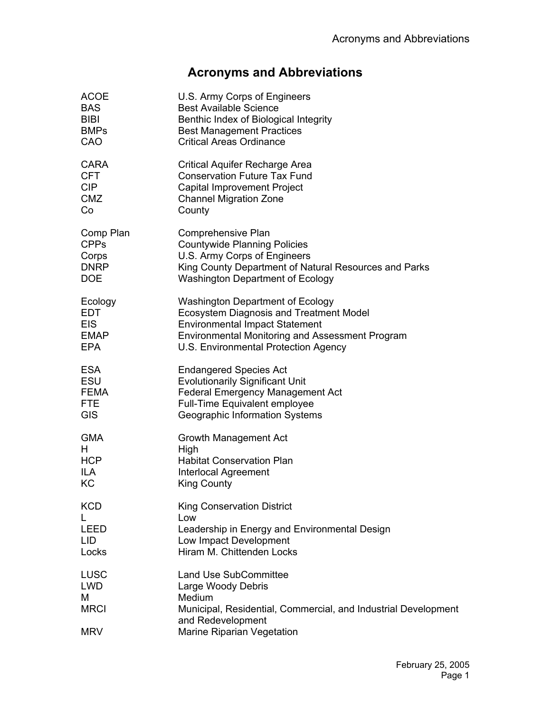## **Acronyms and Abbreviations**

| <b>ACOE</b>                                          | U.S. Army Corps of Engineers                                                                                                                                                      |
|------------------------------------------------------|-----------------------------------------------------------------------------------------------------------------------------------------------------------------------------------|
| <b>BAS</b>                                           | <b>Best Available Science</b>                                                                                                                                                     |
| <b>BIBI</b>                                          | Benthic Index of Biological Integrity                                                                                                                                             |
| <b>BMPs</b>                                          | <b>Best Management Practices</b>                                                                                                                                                  |
| CAO                                                  | <b>Critical Areas Ordinance</b>                                                                                                                                                   |
| <b>CARA</b>                                          | <b>Critical Aquifer Recharge Area</b>                                                                                                                                             |
| <b>CFT</b>                                           | <b>Conservation Future Tax Fund</b>                                                                                                                                               |
| <b>CIP</b>                                           | <b>Capital Improvement Project</b>                                                                                                                                                |
| <b>CMZ</b>                                           | <b>Channel Migration Zone</b>                                                                                                                                                     |
| Co                                                   | County                                                                                                                                                                            |
| Comp Plan                                            | Comprehensive Plan                                                                                                                                                                |
| <b>CPPs</b>                                          | <b>Countywide Planning Policies</b>                                                                                                                                               |
| Corps                                                | U.S. Army Corps of Engineers                                                                                                                                                      |
| <b>DNRP</b>                                          | King County Department of Natural Resources and Parks                                                                                                                             |
| <b>DOE</b>                                           | <b>Washington Department of Ecology</b>                                                                                                                                           |
| Ecology                                              | <b>Washington Department of Ecology</b>                                                                                                                                           |
| EDT                                                  | <b>Ecosystem Diagnosis and Treatment Model</b>                                                                                                                                    |
| <b>EIS</b>                                           | <b>Environmental Impact Statement</b>                                                                                                                                             |
| <b>EMAP</b>                                          | Environmental Monitoring and Assessment Program                                                                                                                                   |
| <b>EPA</b>                                           | U.S. Environmental Protection Agency                                                                                                                                              |
| <b>ESA</b>                                           | <b>Endangered Species Act</b>                                                                                                                                                     |
| ESU                                                  | <b>Evolutionarily Significant Unit</b>                                                                                                                                            |
| <b>FEMA</b>                                          | <b>Federal Emergency Management Act</b>                                                                                                                                           |
| <b>FTE</b>                                           | Full-Time Equivalent employee                                                                                                                                                     |
| <b>GIS</b>                                           | Geographic Information Systems                                                                                                                                                    |
| <b>GMA</b>                                           | Growth Management Act                                                                                                                                                             |
| H                                                    | High                                                                                                                                                                              |
| <b>HCP</b>                                           | <b>Habitat Conservation Plan</b>                                                                                                                                                  |
| ILA                                                  | Interlocal Agreement                                                                                                                                                              |
| KC                                                   | <b>King County</b>                                                                                                                                                                |
| <b>KCD</b><br><b>LEED</b><br>LID<br>Locks            | <b>King Conservation District</b><br>Low<br>Leadership in Energy and Environmental Design<br>Low Impact Development<br>Hiram M. Chittenden Locks                                  |
| LUSC<br><b>LWD</b><br>М<br><b>MRCI</b><br><b>MRV</b> | <b>Land Use SubCommittee</b><br>Large Woody Debris<br>Medium<br>Municipal, Residential, Commercial, and Industrial Development<br>and Redevelopment<br>Marine Riparian Vegetation |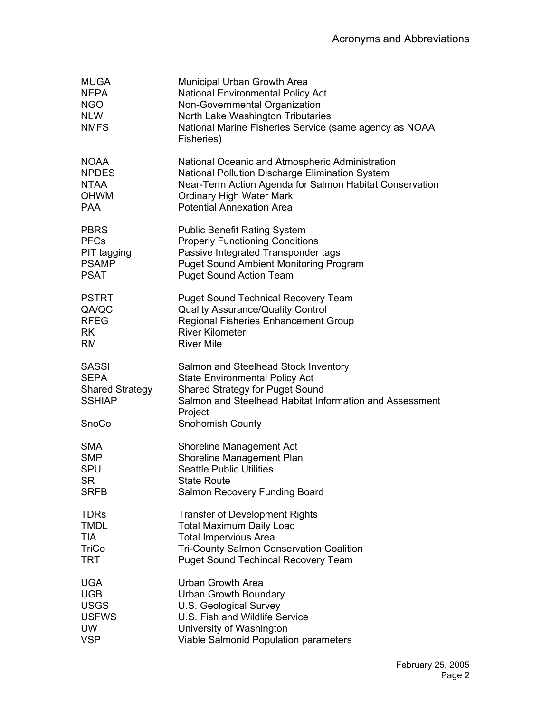| <b>MUGA</b><br><b>NEPA</b><br><b>NGO</b><br><b>NLW</b><br><b>NMFS</b>           | Municipal Urban Growth Area<br><b>National Environmental Policy Act</b><br>Non-Governmental Organization<br>North Lake Washington Tributaries<br>National Marine Fisheries Service (same agency as NOAA<br>Fisheries)    |
|---------------------------------------------------------------------------------|--------------------------------------------------------------------------------------------------------------------------------------------------------------------------------------------------------------------------|
| <b>NOAA</b>                                                                     | National Oceanic and Atmospheric Administration                                                                                                                                                                          |
| <b>NPDES</b>                                                                    | National Pollution Discharge Elimination System                                                                                                                                                                          |
| <b>NTAA</b>                                                                     | Near-Term Action Agenda for Salmon Habitat Conservation                                                                                                                                                                  |
| <b>OHWM</b>                                                                     | <b>Ordinary High Water Mark</b>                                                                                                                                                                                          |
| <b>PAA</b>                                                                      | <b>Potential Annexation Area</b>                                                                                                                                                                                         |
| <b>PBRS</b>                                                                     | <b>Public Benefit Rating System</b>                                                                                                                                                                                      |
| <b>PFCs</b>                                                                     | <b>Properly Functioning Conditions</b>                                                                                                                                                                                   |
| PIT tagging                                                                     | Passive Integrated Transponder tags                                                                                                                                                                                      |
| <b>PSAMP</b>                                                                    | <b>Puget Sound Ambient Monitoring Program</b>                                                                                                                                                                            |
| <b>PSAT</b>                                                                     | <b>Puget Sound Action Team</b>                                                                                                                                                                                           |
| <b>PSTRT</b>                                                                    | <b>Puget Sound Technical Recovery Team</b>                                                                                                                                                                               |
| QA/QC                                                                           | <b>Quality Assurance/Quality Control</b>                                                                                                                                                                                 |
| <b>RFEG</b>                                                                     | Regional Fisheries Enhancement Group                                                                                                                                                                                     |
| <b>RK</b>                                                                       | <b>River Kilometer</b>                                                                                                                                                                                                   |
| <b>RM</b>                                                                       | <b>River Mile</b>                                                                                                                                                                                                        |
| <b>SASSI</b><br><b>SEPA</b><br><b>Shared Strategy</b><br><b>SSHIAP</b><br>SnoCo | Salmon and Steelhead Stock Inventory<br><b>State Environmental Policy Act</b><br><b>Shared Strategy for Puget Sound</b><br>Salmon and Steelhead Habitat Information and Assessment<br>Project<br><b>Snohomish County</b> |
| <b>SMA</b>                                                                      | <b>Shoreline Management Act</b>                                                                                                                                                                                          |
| <b>SMP</b>                                                                      | Shoreline Management Plan                                                                                                                                                                                                |
| <b>SPU</b>                                                                      | <b>Seattle Public Utilities</b>                                                                                                                                                                                          |
| <b>SR</b>                                                                       | <b>State Route</b>                                                                                                                                                                                                       |
| <b>SRFB</b>                                                                     | Salmon Recovery Funding Board                                                                                                                                                                                            |
| <b>TDRs</b>                                                                     | <b>Transfer of Development Rights</b>                                                                                                                                                                                    |
| <b>TMDL</b>                                                                     | <b>Total Maximum Daily Load</b>                                                                                                                                                                                          |
| <b>TIA</b>                                                                      | <b>Total Impervious Area</b>                                                                                                                                                                                             |
| <b>TriCo</b>                                                                    | <b>Tri-County Salmon Conservation Coalition</b>                                                                                                                                                                          |
| TRT                                                                             | <b>Puget Sound Techincal Recovery Team</b>                                                                                                                                                                               |
| <b>UGA</b>                                                                      | <b>Urban Growth Area</b>                                                                                                                                                                                                 |
| <b>UGB</b>                                                                      | Urban Growth Boundary                                                                                                                                                                                                    |
| <b>USGS</b>                                                                     | U.S. Geological Survey                                                                                                                                                                                                   |
| <b>USFWS</b>                                                                    | U.S. Fish and Wildlife Service                                                                                                                                                                                           |
| <b>UW</b>                                                                       | University of Washington                                                                                                                                                                                                 |
| <b>VSP</b>                                                                      | Viable Salmonid Population parameters                                                                                                                                                                                    |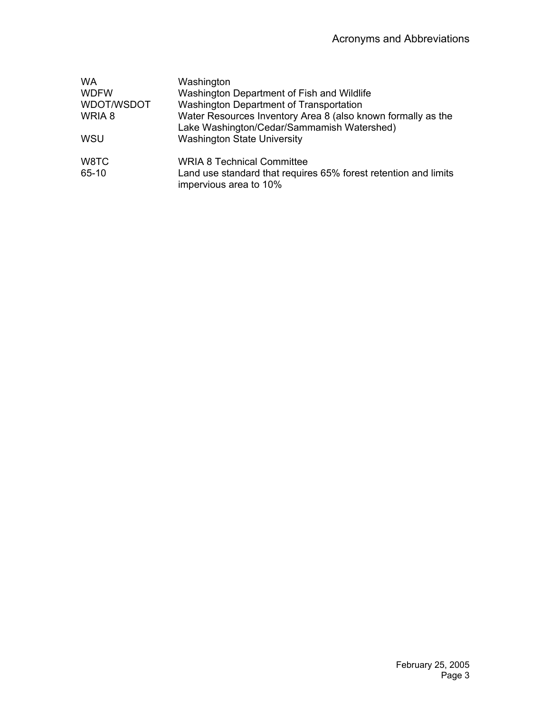| <b>WA</b>   | Washington                                                                                                 |
|-------------|------------------------------------------------------------------------------------------------------------|
| <b>WDFW</b> | Washington Department of Fish and Wildlife                                                                 |
| WDOT/WSDOT  | Washington Department of Transportation                                                                    |
| WRIA 8      | Water Resources Inventory Area 8 (also known formally as the<br>Lake Washington/Cedar/Sammamish Watershed) |
| <b>WSU</b>  | <b>Washington State University</b>                                                                         |
| W8TC        | <b>WRIA 8 Technical Committee</b>                                                                          |
| 65-10       | Land use standard that requires 65% forest retention and limits<br>impervious area to 10%                  |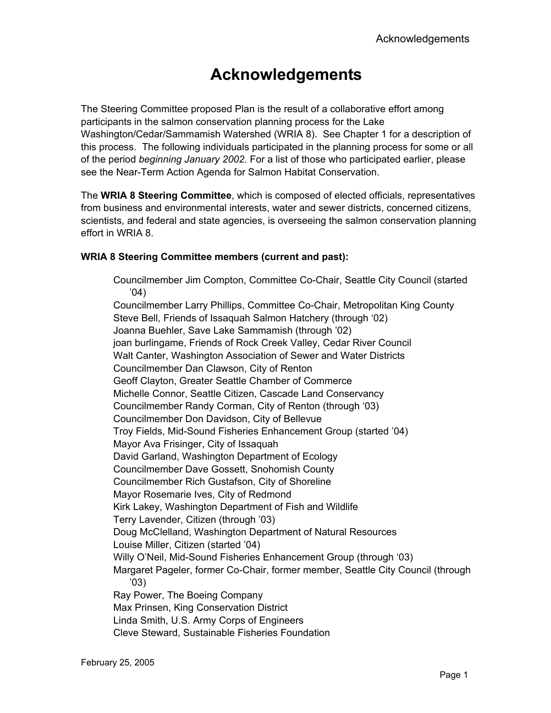# **Acknowledgements**

The Steering Committee proposed Plan is the result of a collaborative effort among participants in the salmon conservation planning process for the Lake Washington/Cedar/Sammamish Watershed (WRIA 8). See Chapter 1 for a description of this process. The following individuals participated in the planning process for some or all of the period *beginning January 2002*. For a list of those who participated earlier, please see the Near-Term Action Agenda for Salmon Habitat Conservation.

The **WRIA 8 Steering Committee**, which is composed of elected officials, representatives from business and environmental interests, water and sewer districts, concerned citizens, scientists, and federal and state agencies, is overseeing the salmon conservation planning effort in WRIA 8.

#### **WRIA 8 Steering Committee members (current and past):**

Councilmember Jim Compton, Committee Co-Chair, Seattle City Council (started '04) Councilmember Larry Phillips, Committee Co-Chair, Metropolitan King County Steve Bell, Friends of Issaquah Salmon Hatchery (through '02) Joanna Buehler, Save Lake Sammamish (through '02) joan burlingame, Friends of Rock Creek Valley, Cedar River Council Walt Canter, Washington Association of Sewer and Water Districts Councilmember Dan Clawson, City of Renton Geoff Clayton, Greater Seattle Chamber of Commerce Michelle Connor, Seattle Citizen, Cascade Land Conservancy Councilmember Randy Corman, City of Renton (through '03) Councilmember Don Davidson, City of Bellevue Troy Fields, Mid-Sound Fisheries Enhancement Group (started '04) Mayor Ava Frisinger, City of Issaquah David Garland, Washington Department of Ecology Councilmember Dave Gossett, Snohomish County Councilmember Rich Gustafson, City of Shoreline Mayor Rosemarie Ives, City of Redmond Kirk Lakey, Washington Department of Fish and Wildlife Terry Lavender, Citizen (through '03) Doug McClelland, Washington Department of Natural Resources Louise Miller, Citizen (started '04) Willy O'Neil, Mid-Sound Fisheries Enhancement Group (through '03) Margaret Pageler, former Co-Chair, former member, Seattle City Council (through '03) Ray Power, The Boeing Company Max Prinsen, King Conservation District Linda Smith, U.S. Army Corps of Engineers Cleve Steward, Sustainable Fisheries Foundation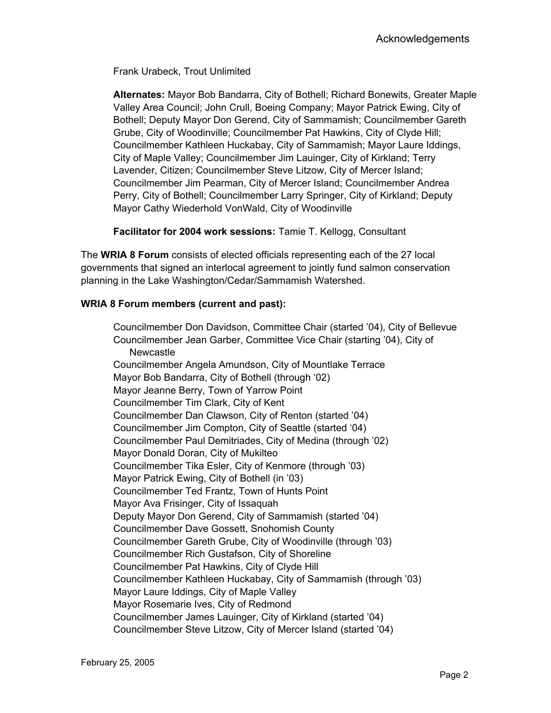Frank Urabeck, Trout Unlimited

**Alternates:** Mayor Bob Bandarra, City of Bothell; Richard Bonewits, Greater Maple Valley Area Council; John Crull, Boeing Company; Mayor Patrick Ewing, City of Bothell; Deputy Mayor Don Gerend, City of Sammamish; Councilmember Gareth Grube, City of Woodinville; Councilmember Pat Hawkins, City of Clyde Hill; Councilmember Kathleen Huckabay, City of Sammamish; Mayor Laure Iddings, City of Maple Valley; Councilmember Jim Lauinger, City of Kirkland; Terry Lavender, Citizen; Councilmember Steve Litzow, City of Mercer Island; Councilmember Jim Pearman, City of Mercer Island; Councilmember Andrea Perry, City of Bothell; Councilmember Larry Springer, City of Kirkland; Deputy Mayor Cathy Wiederhold VonWald, City of Woodinville

**Facilitator for 2004 work sessions:** Tamie T. Kellogg, Consultant

The **WRIA 8 Forum** consists of elected officials representing each of the 27 local governments that signed an interlocal agreement to jointly fund salmon conservation planning in the Lake Washington/Cedar/Sammamish Watershed.

#### **WRIA 8 Forum members (current and past):**

Councilmember Don Davidson, Committee Chair (started '04), City of Bellevue Councilmember Jean Garber, Committee Vice Chair (starting '04), City of **Newcastle** Councilmember Angela Amundson, City of Mountlake Terrace Mayor Bob Bandarra, City of Bothell (through '02) Mayor Jeanne Berry, Town of Yarrow Point Councilmember Tim Clark, City of Kent Councilmember Dan Clawson, City of Renton (started '04) Councilmember Jim Compton, City of Seattle (started '04) Councilmember Paul Demitriades, City of Medina (through '02) Mayor Donald Doran, City of Mukilteo Councilmember Tika Esler, City of Kenmore (through '03) Mayor Patrick Ewing, City of Bothell (in '03) Councilmember Ted Frantz, Town of Hunts Point Mayor Ava Frisinger, City of Issaquah Deputy Mayor Don Gerend, City of Sammamish (started '04) Councilmember Dave Gossett, Snohomish County Councilmember Gareth Grube, City of Woodinville (through '03) Councilmember Rich Gustafson, City of Shoreline Councilmember Pat Hawkins, City of Clyde Hill Councilmember Kathleen Huckabay, City of Sammamish (through '03) Mayor Laure Iddings, City of Maple Valley Mayor Rosemarie Ives, City of Redmond Councilmember James Lauinger, City of Kirkland (started '04) Councilmember Steve Litzow, City of Mercer Island (started '04)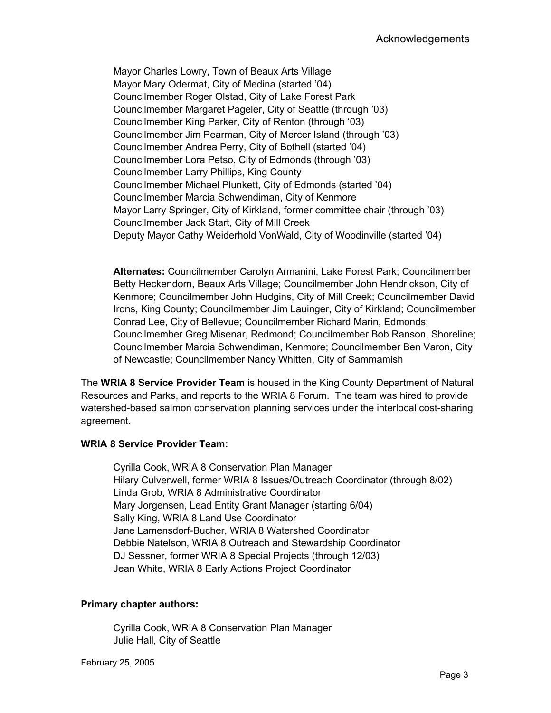Mayor Charles Lowry, Town of Beaux Arts Village Mayor Mary Odermat, City of Medina (started '04) Councilmember Roger Olstad, City of Lake Forest Park Councilmember Margaret Pageler, City of Seattle (through '03) Councilmember King Parker, City of Renton (through '03) Councilmember Jim Pearman, City of Mercer Island (through '03) Councilmember Andrea Perry, City of Bothell (started '04) Councilmember Lora Petso, City of Edmonds (through '03) Councilmember Larry Phillips, King County Councilmember Michael Plunkett, City of Edmonds (started '04) Councilmember Marcia Schwendiman, City of Kenmore Mayor Larry Springer, City of Kirkland, former committee chair (through '03) Councilmember Jack Start, City of Mill Creek Deputy Mayor Cathy Weiderhold VonWald, City of Woodinville (started '04)

**Alternates:** Councilmember Carolyn Armanini, Lake Forest Park; Councilmember Betty Heckendorn, Beaux Arts Village; Councilmember John Hendrickson, City of Kenmore; Councilmember John Hudgins, City of Mill Creek; Councilmember David Irons, King County; Councilmember Jim Lauinger, City of Kirkland; Councilmember Conrad Lee, City of Bellevue; Councilmember Richard Marin, Edmonds; Councilmember Greg Misenar, Redmond; Councilmember Bob Ranson, Shoreline; Councilmember Marcia Schwendiman, Kenmore; Councilmember Ben Varon, City of Newcastle; Councilmember Nancy Whitten, City of Sammamish

The **WRIA 8 Service Provider Team** is housed in the King County Department of Natural Resources and Parks, and reports to the WRIA 8 Forum. The team was hired to provide watershed-based salmon conservation planning services under the interlocal cost-sharing agreement.

#### **WRIA 8 Service Provider Team:**

Cyrilla Cook, WRIA 8 Conservation Plan Manager Hilary Culverwell, former WRIA 8 Issues/Outreach Coordinator (through 8/02) Linda Grob, WRIA 8 Administrative Coordinator Mary Jorgensen, Lead Entity Grant Manager (starting 6/04) Sally King, WRIA 8 Land Use Coordinator Jane Lamensdorf-Bucher, WRIA 8 Watershed Coordinator Debbie Natelson, WRIA 8 Outreach and Stewardship Coordinator DJ Sessner, former WRIA 8 Special Projects (through 12/03) Jean White, WRIA 8 Early Actions Project Coordinator

#### **Primary chapter authors:**

Cyrilla Cook, WRIA 8 Conservation Plan Manager Julie Hall, City of Seattle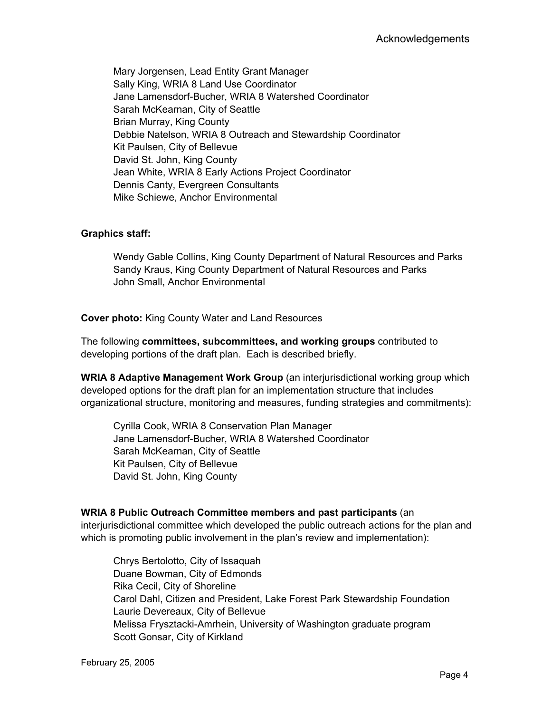Mary Jorgensen, Lead Entity Grant Manager Sally King, WRIA 8 Land Use Coordinator Jane Lamensdorf-Bucher, WRIA 8 Watershed Coordinator Sarah McKearnan, City of Seattle Brian Murray, King County Debbie Natelson, WRIA 8 Outreach and Stewardship Coordinator Kit Paulsen, City of Bellevue David St. John, King County Jean White, WRIA 8 Early Actions Project Coordinator Dennis Canty, Evergreen Consultants Mike Schiewe, Anchor Environmental

#### **Graphics staff:**

Wendy Gable Collins, King County Department of Natural Resources and Parks Sandy Kraus, King County Department of Natural Resources and Parks John Small, Anchor Environmental

**Cover photo:** King County Water and Land Resources

The following **committees, subcommittees, and working groups** contributed to developing portions of the draft plan. Each is described briefly.

**WRIA 8 Adaptive Management Work Group** (an interjurisdictional working group which developed options for the draft plan for an implementation structure that includes organizational structure, monitoring and measures, funding strategies and commitments):

Cyrilla Cook, WRIA 8 Conservation Plan Manager Jane Lamensdorf-Bucher, WRIA 8 Watershed Coordinator Sarah McKearnan, City of Seattle Kit Paulsen, City of Bellevue David St. John, King County

#### **WRIA 8 Public Outreach Committee members and past participants** (an

interjurisdictional committee which developed the public outreach actions for the plan and which is promoting public involvement in the plan's review and implementation):

Chrys Bertolotto, City of Issaquah Duane Bowman, City of Edmonds Rika Cecil, City of Shoreline Carol Dahl, Citizen and President, Lake Forest Park Stewardship Foundation Laurie Devereaux, City of Bellevue Melissa Frysztacki-Amrhein, University of Washington graduate program Scott Gonsar, City of Kirkland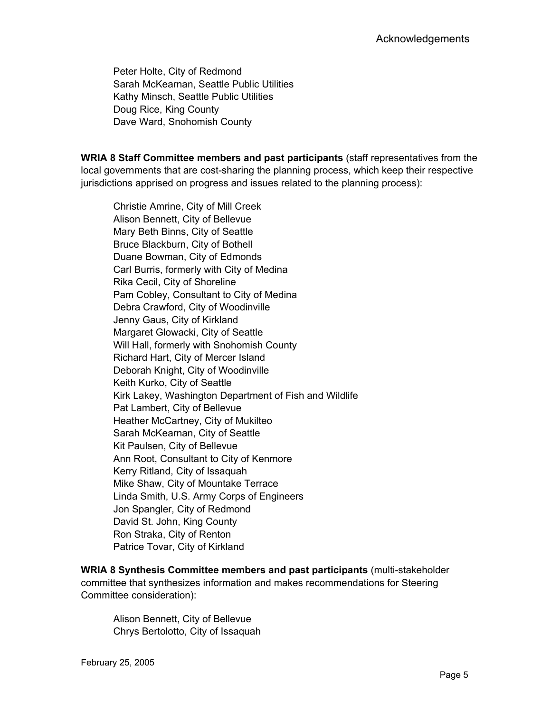Peter Holte, City of Redmond Sarah McKearnan, Seattle Public Utilities Kathy Minsch, Seattle Public Utilities Doug Rice, King County Dave Ward, Snohomish County

**WRIA 8 Staff Committee members and past participants** (staff representatives from the local governments that are cost-sharing the planning process, which keep their respective jurisdictions apprised on progress and issues related to the planning process):

Christie Amrine, City of Mill Creek Alison Bennett, City of Bellevue Mary Beth Binns, City of Seattle Bruce Blackburn, City of Bothell Duane Bowman, City of Edmonds Carl Burris, formerly with City of Medina Rika Cecil, City of Shoreline Pam Cobley, Consultant to City of Medina Debra Crawford, City of Woodinville Jenny Gaus, City of Kirkland Margaret Glowacki, City of Seattle Will Hall, formerly with Snohomish County Richard Hart, City of Mercer Island Deborah Knight, City of Woodinville Keith Kurko, City of Seattle Kirk Lakey, Washington Department of Fish and Wildlife Pat Lambert, City of Bellevue Heather McCartney, City of Mukilteo Sarah McKearnan, City of Seattle Kit Paulsen, City of Bellevue Ann Root, Consultant to City of Kenmore Kerry Ritland, City of Issaquah Mike Shaw, City of Mountake Terrace Linda Smith, U.S. Army Corps of Engineers Jon Spangler, City of Redmond David St. John, King County Ron Straka, City of Renton Patrice Tovar, City of Kirkland

**WRIA 8 Synthesis Committee members and past participants** (multi-stakeholder committee that synthesizes information and makes recommendations for Steering Committee consideration):

Alison Bennett, City of Bellevue Chrys Bertolotto, City of Issaquah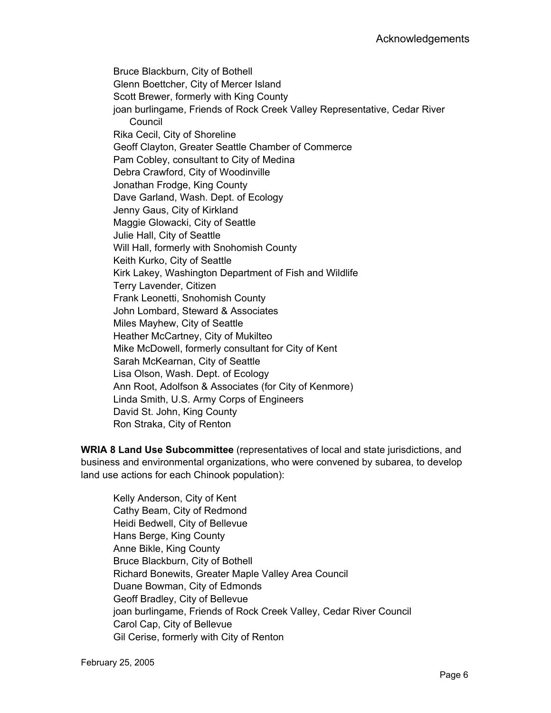Bruce Blackburn, City of Bothell Glenn Boettcher, City of Mercer Island Scott Brewer, formerly with King County joan burlingame, Friends of Rock Creek Valley Representative, Cedar River Council Rika Cecil, City of Shoreline Geoff Clayton, Greater Seattle Chamber of Commerce Pam Cobley, consultant to City of Medina Debra Crawford, City of Woodinville Jonathan Frodge, King County Dave Garland, Wash. Dept. of Ecology Jenny Gaus, City of Kirkland Maggie Glowacki, City of Seattle Julie Hall, City of Seattle Will Hall, formerly with Snohomish County Keith Kurko, City of Seattle Kirk Lakey, Washington Department of Fish and Wildlife Terry Lavender, Citizen Frank Leonetti, Snohomish County John Lombard, Steward & Associates Miles Mayhew, City of Seattle Heather McCartney, City of Mukilteo Mike McDowell, formerly consultant for City of Kent Sarah McKearnan, City of Seattle Lisa Olson, Wash. Dept. of Ecology Ann Root, Adolfson & Associates (for City of Kenmore) Linda Smith, U.S. Army Corps of Engineers David St. John, King County Ron Straka, City of Renton

**WRIA 8 Land Use Subcommittee** (representatives of local and state jurisdictions, and business and environmental organizations, who were convened by subarea, to develop land use actions for each Chinook population):

Kelly Anderson, City of Kent Cathy Beam, City of Redmond Heidi Bedwell, City of Bellevue Hans Berge, King County Anne Bikle, King County Bruce Blackburn, City of Bothell Richard Bonewits, Greater Maple Valley Area Council Duane Bowman, City of Edmonds Geoff Bradley, City of Bellevue joan burlingame, Friends of Rock Creek Valley, Cedar River Council Carol Cap, City of Bellevue Gil Cerise, formerly with City of Renton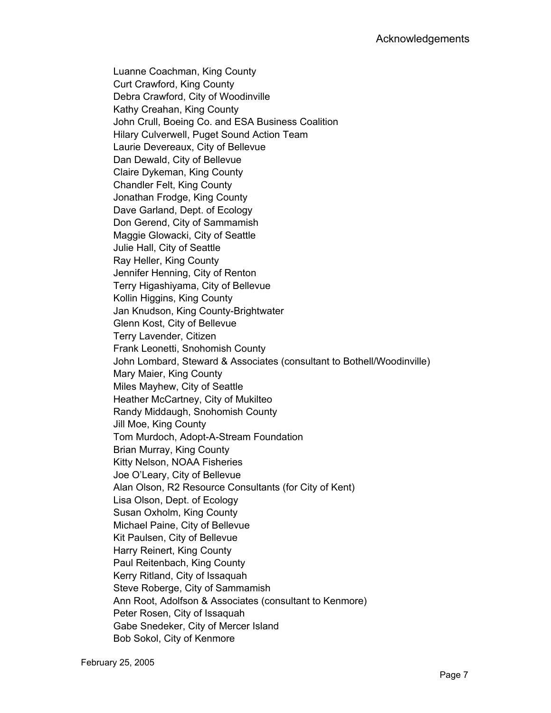Luanne Coachman, King County Curt Crawford, King County Debra Crawford, City of Woodinville Kathy Creahan, King County John Crull, Boeing Co. and ESA Business Coalition Hilary Culverwell, Puget Sound Action Team Laurie Devereaux, City of Bellevue Dan Dewald, City of Bellevue Claire Dykeman, King County Chandler Felt, King County Jonathan Frodge, King County Dave Garland, Dept. of Ecology Don Gerend, City of Sammamish Maggie Glowacki, City of Seattle Julie Hall, City of Seattle Ray Heller, King County Jennifer Henning, City of Renton Terry Higashiyama, City of Bellevue Kollin Higgins, King County Jan Knudson, King County-Brightwater Glenn Kost, City of Bellevue Terry Lavender, Citizen Frank Leonetti, Snohomish County John Lombard, Steward & Associates (consultant to Bothell/Woodinville) Mary Maier, King County Miles Mayhew, City of Seattle Heather McCartney, City of Mukilteo Randy Middaugh, Snohomish County Jill Moe, King County Tom Murdoch, Adopt-A-Stream Foundation Brian Murray, King County Kitty Nelson, NOAA Fisheries Joe O'Leary, City of Bellevue Alan Olson, R2 Resource Consultants (for City of Kent) Lisa Olson, Dept. of Ecology Susan Oxholm, King County Michael Paine, City of Bellevue Kit Paulsen, City of Bellevue Harry Reinert, King County Paul Reitenbach, King County Kerry Ritland, City of Issaquah Steve Roberge, City of Sammamish Ann Root, Adolfson & Associates (consultant to Kenmore) Peter Rosen, City of Issaquah Gabe Snedeker, City of Mercer Island Bob Sokol, City of Kenmore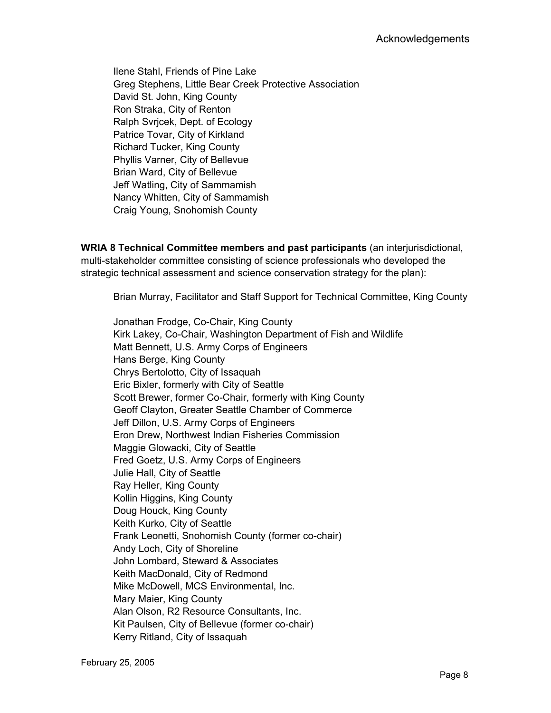Ilene Stahl, Friends of Pine Lake Greg Stephens, Little Bear Creek Protective Association David St. John, King County Ron Straka, City of Renton Ralph Svrjcek, Dept. of Ecology Patrice Tovar, City of Kirkland Richard Tucker, King County Phyllis Varner, City of Bellevue Brian Ward, City of Bellevue Jeff Watling, City of Sammamish Nancy Whitten, City of Sammamish Craig Young, Snohomish County

**WRIA 8 Technical Committee members and past participants** (an interjurisdictional, multi-stakeholder committee consisting of science professionals who developed the strategic technical assessment and science conservation strategy for the plan):

Brian Murray, Facilitator and Staff Support for Technical Committee, King County

Jonathan Frodge, Co-Chair, King County Kirk Lakey, Co-Chair, Washington Department of Fish and Wildlife Matt Bennett, U.S. Army Corps of Engineers Hans Berge, King County Chrys Bertolotto, City of Issaquah Eric Bixler, formerly with City of Seattle Scott Brewer, former Co-Chair, formerly with King County Geoff Clayton, Greater Seattle Chamber of Commerce Jeff Dillon, U.S. Army Corps of Engineers Eron Drew, Northwest Indian Fisheries Commission Maggie Glowacki, City of Seattle Fred Goetz, U.S. Army Corps of Engineers Julie Hall, City of Seattle Ray Heller, King County Kollin Higgins, King County Doug Houck, King County Keith Kurko, City of Seattle Frank Leonetti, Snohomish County (former co-chair) Andy Loch, City of Shoreline John Lombard, Steward & Associates Keith MacDonald, City of Redmond Mike McDowell, MCS Environmental, Inc. Mary Maier, King County Alan Olson, R2 Resource Consultants, Inc. Kit Paulsen, City of Bellevue (former co-chair) Kerry Ritland, City of Issaquah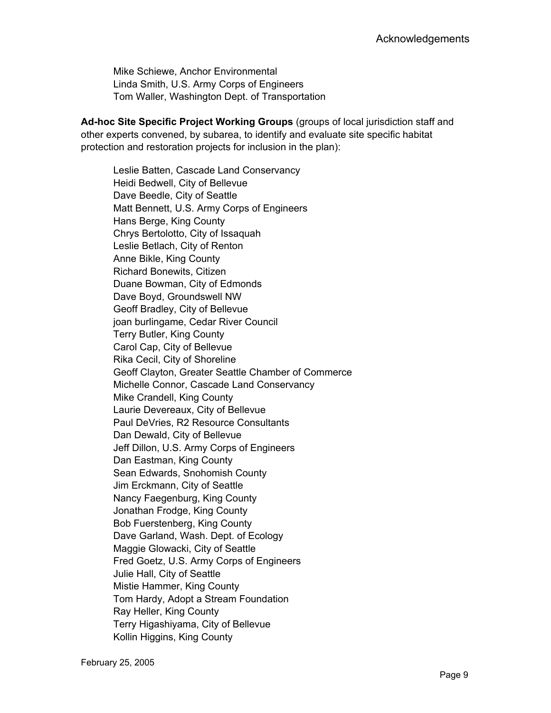Mike Schiewe, Anchor Environmental Linda Smith, U.S. Army Corps of Engineers Tom Waller, Washington Dept. of Transportation

**Ad-hoc Site Specific Project Working Groups** (groups of local jurisdiction staff and other experts convened, by subarea, to identify and evaluate site specific habitat protection and restoration projects for inclusion in the plan):

Leslie Batten, Cascade Land Conservancy Heidi Bedwell, City of Bellevue Dave Beedle, City of Seattle Matt Bennett, U.S. Army Corps of Engineers Hans Berge, King County Chrys Bertolotto, City of Issaquah Leslie Betlach, City of Renton Anne Bikle, King County Richard Bonewits, Citizen Duane Bowman, City of Edmonds Dave Boyd, Groundswell NW Geoff Bradley, City of Bellevue joan burlingame, Cedar River Council Terry Butler, King County Carol Cap, City of Bellevue Rika Cecil, City of Shoreline Geoff Clayton, Greater Seattle Chamber of Commerce Michelle Connor, Cascade Land Conservancy Mike Crandell, King County Laurie Devereaux, City of Bellevue Paul DeVries, R2 Resource Consultants Dan Dewald, City of Bellevue Jeff Dillon, U.S. Army Corps of Engineers Dan Eastman, King County Sean Edwards, Snohomish County Jim Erckmann, City of Seattle Nancy Faegenburg, King County Jonathan Frodge, King County Bob Fuerstenberg, King County Dave Garland, Wash. Dept. of Ecology Maggie Glowacki, City of Seattle Fred Goetz, U.S. Army Corps of Engineers Julie Hall, City of Seattle Mistie Hammer, King County Tom Hardy, Adopt a Stream Foundation Ray Heller, King County Terry Higashiyama, City of Bellevue Kollin Higgins, King County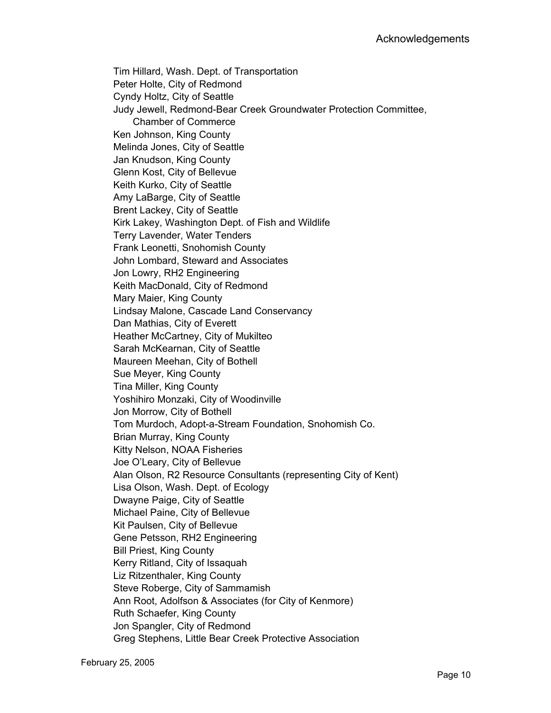Tim Hillard, Wash. Dept. of Transportation Peter Holte, City of Redmond Cyndy Holtz, City of Seattle Judy Jewell, Redmond-Bear Creek Groundwater Protection Committee, Chamber of Commerce Ken Johnson, King County Melinda Jones, City of Seattle Jan Knudson, King County Glenn Kost, City of Bellevue Keith Kurko, City of Seattle Amy LaBarge, City of Seattle Brent Lackey, City of Seattle Kirk Lakey, Washington Dept. of Fish and Wildlife Terry Lavender, Water Tenders Frank Leonetti, Snohomish County John Lombard, Steward and Associates Jon Lowry, RH2 Engineering Keith MacDonald, City of Redmond Mary Maier, King County Lindsay Malone, Cascade Land Conservancy Dan Mathias, City of Everett Heather McCartney, City of Mukilteo Sarah McKearnan, City of Seattle Maureen Meehan, City of Bothell Sue Meyer, King County Tina Miller, King County Yoshihiro Monzaki, City of Woodinville Jon Morrow, City of Bothell Tom Murdoch, Adopt-a-Stream Foundation, Snohomish Co. Brian Murray, King County Kitty Nelson, NOAA Fisheries Joe O'Leary, City of Bellevue Alan Olson, R2 Resource Consultants (representing City of Kent) Lisa Olson, Wash. Dept. of Ecology Dwayne Paige, City of Seattle Michael Paine, City of Bellevue Kit Paulsen, City of Bellevue Gene Petsson, RH2 Engineering Bill Priest, King County Kerry Ritland, City of Issaquah Liz Ritzenthaler, King County Steve Roberge, City of Sammamish Ann Root, Adolfson & Associates (for City of Kenmore) Ruth Schaefer, King County Jon Spangler, City of Redmond Greg Stephens, Little Bear Creek Protective Association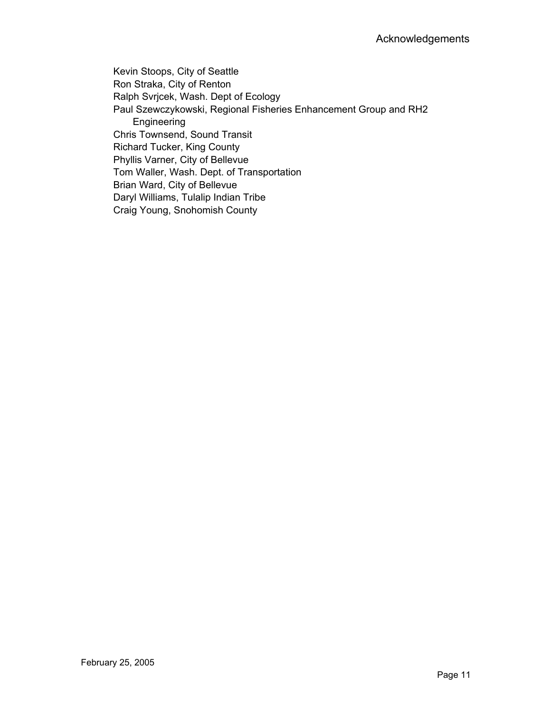Kevin Stoops, City of Seattle Ron Straka, City of Renton Ralph Svrjcek, Wash. Dept of Ecology Paul Szewczykowski, Regional Fisheries Enhancement Group and RH2 Engineering Chris Townsend, Sound Transit Richard Tucker, King County Phyllis Varner, City of Bellevue Tom Waller, Wash. Dept. of Transportation Brian Ward, City of Bellevue Daryl Williams, Tulalip Indian Tribe Craig Young, Snohomish County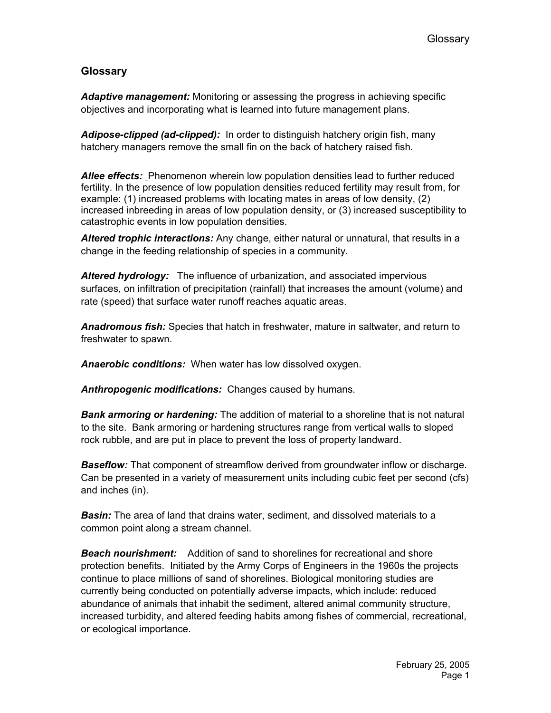### **Glossary**

*Adaptive management:* Monitoring or assessing the progress in achieving specific objectives and incorporating what is learned into future management plans.

*Adipose-clipped (ad-clipped):* In order to distinguish hatchery origin fish, many hatchery managers remove the small fin on the back of hatchery raised fish.

*Allee effects:* Phenomenon wherein low population densities lead to further reduced fertility. In the presence of low population densities reduced fertility may result from, for example: (1) increased problems with locating mates in areas of low density, (2) increased inbreeding in areas of low population density, or (3) increased susceptibility to catastrophic events in low population densities.

*Altered trophic interactions:* Any change, either natural or unnatural, that results in a change in the feeding relationship of species in a community.

*Altered hydrology:* The influence of urbanization, and associated impervious surfaces, on infiltration of precipitation (rainfall) that increases the amount (volume) and rate (speed) that surface water runoff reaches aquatic areas.

*Anadromous fish:* Species that hatch in freshwater, mature in saltwater, and return to freshwater to spawn.

*Anaerobic conditions:* When water has low dissolved oxygen.

*Anthropogenic modifications:* Changes caused by humans.

*Bank armoring or hardening:* The addition of material to a shoreline that is not natural to the site. Bank armoring or hardening structures range from vertical walls to sloped rock rubble, and are put in place to prevent the loss of property landward.

*Baseflow:* That component of streamflow derived from groundwater inflow or discharge. Can be presented in a variety of measurement units including cubic feet per second (cfs) and inches (in).

*Basin:* The area of land that drains water, sediment, and dissolved materials to a common point along a stream channel.

*Beach nourishment:* Addition of sand to shorelines for recreational and shore protection benefits. Initiated by the Army Corps of Engineers in the 1960s the projects continue to place millions of sand of shorelines. Biological monitoring studies are currently being conducted on potentially adverse impacts, which include: reduced abundance of animals that inhabit the sediment, altered animal community structure, increased turbidity, and altered feeding habits among fishes of commercial, recreational, or ecological importance.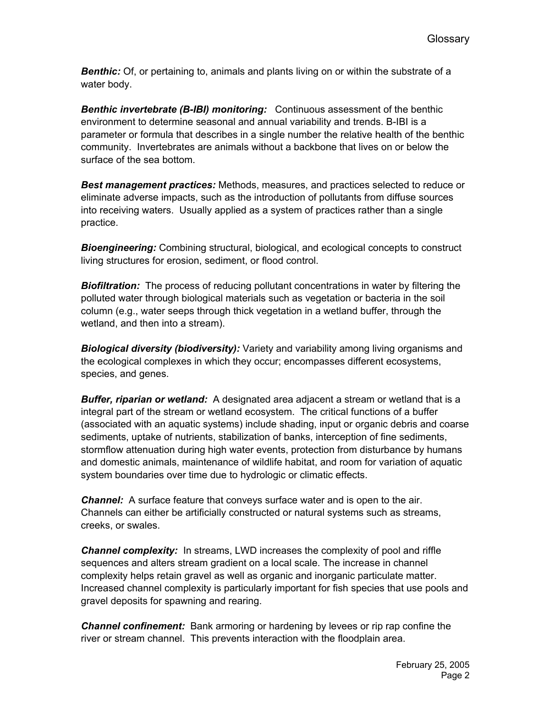*Benthic:* Of, or pertaining to, animals and plants living on or within the substrate of a water body.

*Benthic invertebrate (B-IBI) monitoring:* Continuous assessment of the benthic environment to determine seasonal and annual variability and trends. B-IBI is a parameter or formula that describes in a single number the relative health of the benthic community. Invertebrates are animals without a backbone that lives on or below the surface of the sea bottom.

*Best management practices:* Methods, measures, and practices selected to reduce or eliminate adverse impacts, such as the introduction of pollutants from diffuse sources into receiving waters. Usually applied as a system of practices rather than a single practice.

*Bioengineering:* Combining structural, biological, and ecological concepts to construct living structures for erosion, sediment, or flood control.

*Biofiltration:* The process of reducing pollutant concentrations in water by filtering the polluted water through biological materials such as vegetation or bacteria in the soil column (e.g., water seeps through thick vegetation in a wetland buffer, through the wetland, and then into a stream).

*Biological diversity (biodiversity):* Variety and variability among living organisms and the ecological complexes in which they occur; encompasses different ecosystems, species, and genes.

*Buffer, riparian or wetland:* A designated area adjacent a stream or wetland that is a integral part of the stream or wetland ecosystem. The critical functions of a buffer (associated with an aquatic systems) include shading, input or organic debris and coarse sediments, uptake of nutrients, stabilization of banks, interception of fine sediments, stormflow attenuation during high water events, protection from disturbance by humans and domestic animals, maintenance of wildlife habitat, and room for variation of aquatic system boundaries over time due to hydrologic or climatic effects.

*Channel:* A surface feature that conveys surface water and is open to the air. Channels can either be artificially constructed or natural systems such as streams, creeks, or swales.

*Channel complexity:* In streams, LWD increases the complexity of pool and riffle sequences and alters stream gradient on a local scale. The increase in channel complexity helps retain gravel as well as organic and inorganic particulate matter. Increased channel complexity is particularly important for fish species that use pools and gravel deposits for spawning and rearing.

*Channel confinement:* Bank armoring or hardening by levees or rip rap confine the river or stream channel. This prevents interaction with the floodplain area.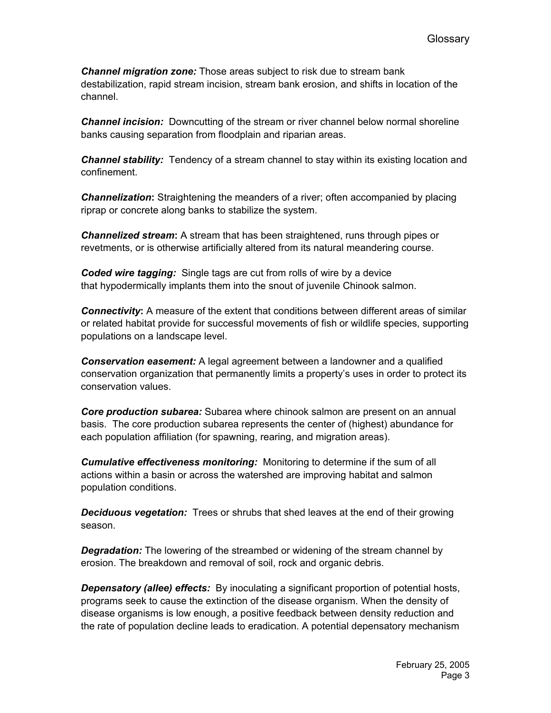*Channel migration zone:* Those areas subject to risk due to stream bank destabilization, rapid stream incision, stream bank erosion, and shifts in location of the channel.

*Channel incision:* Downcutting of the stream or river channel below normal shoreline banks causing separation from floodplain and riparian areas.

*Channel stability:* Tendency of a stream channel to stay within its existing location and confinement.

*Channelization***:** Straightening the meanders of a river; often accompanied by placing riprap or concrete along banks to stabilize the system.

*Channelized stream***:** A stream that has been straightened, runs through pipes or revetments, or is otherwise artificially altered from its natural meandering course.

*Coded wire tagging:* Single tags are cut from rolls of wire by a device that hypodermically implants them into the snout of juvenile Chinook salmon.

*Connectivity***:** A measure of the extent that conditions between different areas of similar or related habitat provide for successful movements of fish or wildlife species, supporting populations on a landscape level.

*Conservation easement:* A legal agreement between a landowner and a qualified conservation organization that permanently limits a property's uses in order to protect its conservation values.

*Core production subarea:* Subarea where chinook salmon are present on an annual basis. The core production subarea represents the center of (highest) abundance for each population affiliation (for spawning, rearing, and migration areas).

*Cumulative effectiveness monitoring:* Monitoring to determine if the sum of all actions within a basin or across the watershed are improving habitat and salmon population conditions.

*Deciduous vegetation:* Trees or shrubs that shed leaves at the end of their growing season.

*Degradation:* The lowering of the streambed or widening of the stream channel by erosion. The breakdown and removal of soil, rock and organic debris.

*Depensatory (allee) effects:* By inoculating a significant proportion of potential hosts, programs seek to cause the extinction of the disease organism. When the density of disease organisms is low enough, a positive feedback between density reduction and the rate of population decline leads to eradication. A potential depensatory mechanism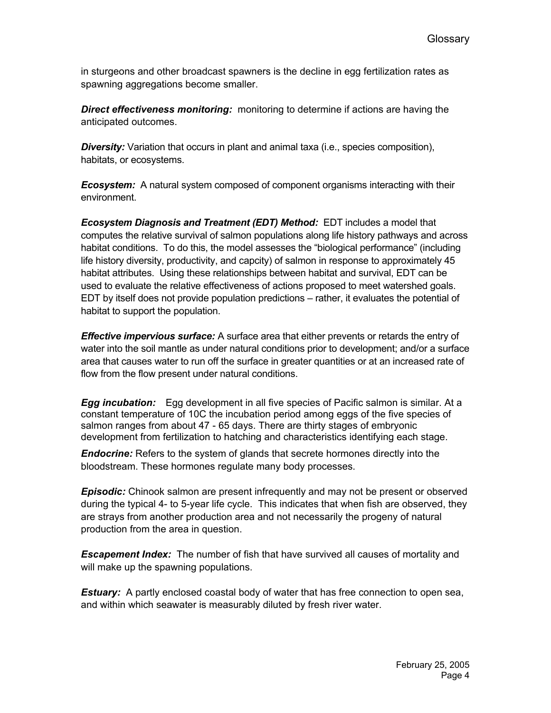in sturgeons and other broadcast spawners is the decline in egg fertilization rates as spawning aggregations become smaller.

*Direct effectiveness monitoring:* monitoring to determine if actions are having the anticipated outcomes.

**Diversity:** Variation that occurs in plant and animal taxa (i.e., species composition), habitats, or ecosystems.

*Ecosystem:* A natural system composed of component organisms interacting with their environment.

*Ecosystem Diagnosis and Treatment (EDT) Method:* EDT includes a model that computes the relative survival of salmon populations along life history pathways and across habitat conditions. To do this, the model assesses the "biological performance" (including life history diversity, productivity, and capcity) of salmon in response to approximately 45 habitat attributes. Using these relationships between habitat and survival, EDT can be used to evaluate the relative effectiveness of actions proposed to meet watershed goals. EDT by itself does not provide population predictions – rather, it evaluates the potential of habitat to support the population.

*Effective impervious surface:* A surface area that either prevents or retards the entry of water into the soil mantle as under natural conditions prior to development; and/or a surface area that causes water to run off the surface in greater quantities or at an increased rate of flow from the flow present under natural conditions.

*Egg incubation:* Egg development in all five species of Pacific salmon is similar. At a constant temperature of 10C the incubation period among eggs of the five species of salmon ranges from about 47 - 65 days. There are thirty stages of embryonic development from fertilization to hatching and characteristics identifying each stage.

*Endocrine:* Refers to the system of glands that secrete hormones directly into the bloodstream. These hormones regulate many body processes.

*Episodic:* Chinook salmon are present infrequently and may not be present or observed during the typical 4- to 5-year life cycle. This indicates that when fish are observed, they are strays from another production area and not necessarily the progeny of natural production from the area in question.

**Escapement Index:** The number of fish that have survived all causes of mortality and will make up the spawning populations.

**Estuary:** A partly enclosed coastal body of water that has free connection to open sea, and within which seawater is measurably diluted by fresh river water.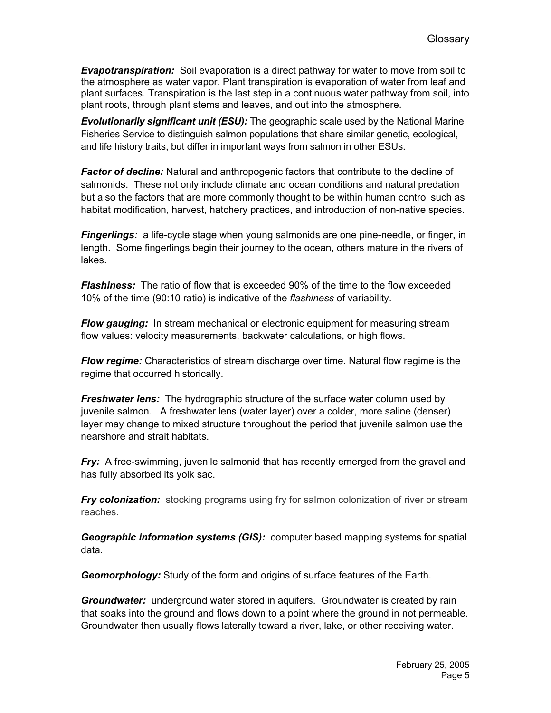*Evapotranspiration:* Soil evaporation is a direct pathway for water to move from soil to the atmosphere as water vapor. Plant transpiration is evaporation of water from leaf and plant surfaces. Transpiration is the last step in a continuous water pathway from soil, into plant roots, through plant stems and leaves, and out into the atmosphere.

*Evolutionarily significant unit (ESU):* The geographic scale used by the National Marine Fisheries Service to distinguish salmon populations that share similar genetic, ecological, and life history traits, but differ in important ways from salmon in other ESUs.

*Factor of decline:* Natural and anthropogenic factors that contribute to the decline of salmonids. These not only include climate and ocean conditions and natural predation but also the factors that are more commonly thought to be within human control such as habitat modification, harvest, hatchery practices, and introduction of non-native species.

*Fingerlings:* a life-cycle stage when young salmonids are one pine-needle, or finger, in length. Some fingerlings begin their journey to the ocean, others mature in the rivers of lakes.

*Flashiness:* The ratio of flow that is exceeded 90% of the time to the flow exceeded 10% of the time (90:10 ratio) is indicative of the *flashiness* of variability.

*Flow gauging:* In stream mechanical or electronic equipment for measuring stream flow values: velocity measurements, backwater calculations, or high flows.

*Flow regime:* Characteristics of stream discharge over time. Natural flow regime is the regime that occurred historically.

*Freshwater lens:* The hydrographic structure of the surface water column used by juvenile salmon. A freshwater lens (water layer) over a colder, more saline (denser) layer may change to mixed structure throughout the period that juvenile salmon use the nearshore and strait habitats.

*Fry:* A free-swimming, juvenile salmonid that has recently emerged from the gravel and has fully absorbed its yolk sac.

*Fry colonization:* stocking programs using fry for salmon colonization of river or stream reaches.

*Geographic information systems (GIS):* computer based mapping systems for spatial data.

*Geomorphology:* Study of the form and origins of surface features of the Earth.

*Groundwater:* underground water stored in aquifers. Groundwater is created by rain that soaks into the ground and flows down to a point where the ground in not permeable. Groundwater then usually flows laterally toward a river, lake, or other receiving water.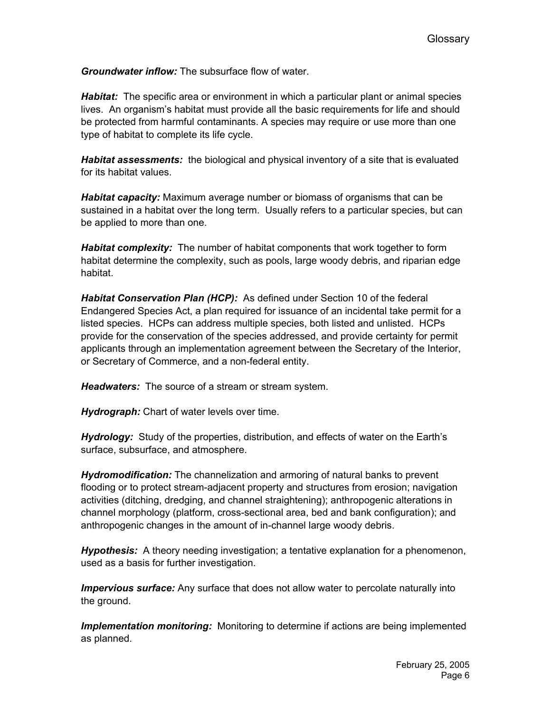*Groundwater inflow:* The subsurface flow of water.

*Habitat:* The specific area or environment in which a particular plant or animal species lives. An organism's habitat must provide all the basic requirements for life and should be protected from harmful contaminants. A species may require or use more than one type of habitat to complete its life cycle.

*Habitat assessments:* the biological and physical inventory of a site that is evaluated for its habitat values.

*Habitat capacity:* Maximum average number or biomass of organisms that can be sustained in a habitat over the long term. Usually refers to a particular species, but can be applied to more than one.

*Habitat complexity:* The number of habitat components that work together to form habitat determine the complexity, such as pools, large woody debris, and riparian edge habitat.

*Habitat Conservation Plan (HCP):* As defined under Section 10 of the federal Endangered Species Act, a plan required for issuance of an incidental take permit for a listed species. HCPs can address multiple species, both listed and unlisted. HCPs provide for the conservation of the species addressed, and provide certainty for permit applicants through an implementation agreement between the Secretary of the Interior, or Secretary of Commerce, and a non-federal entity.

*Headwaters:* The source of a stream or stream system.

*Hydrograph:* Chart of water levels over time.

*Hydrology:* Study of the properties, distribution, and effects of water on the Earth's surface, subsurface, and atmosphere.

*Hydromodification:* The channelization and armoring of natural banks to prevent flooding or to protect stream-adjacent property and structures from erosion; navigation activities (ditching, dredging, and channel straightening); anthropogenic alterations in channel morphology (platform, cross-sectional area, bed and bank configuration); and anthropogenic changes in the amount of in-channel large woody debris.

*Hypothesis:* A theory needing investigation; a tentative explanation for a phenomenon, used as a basis for further investigation.

**Impervious surface:** Any surface that does not allow water to percolate naturally into the ground.

*Implementation monitoring:* Monitoring to determine if actions are being implemented as planned.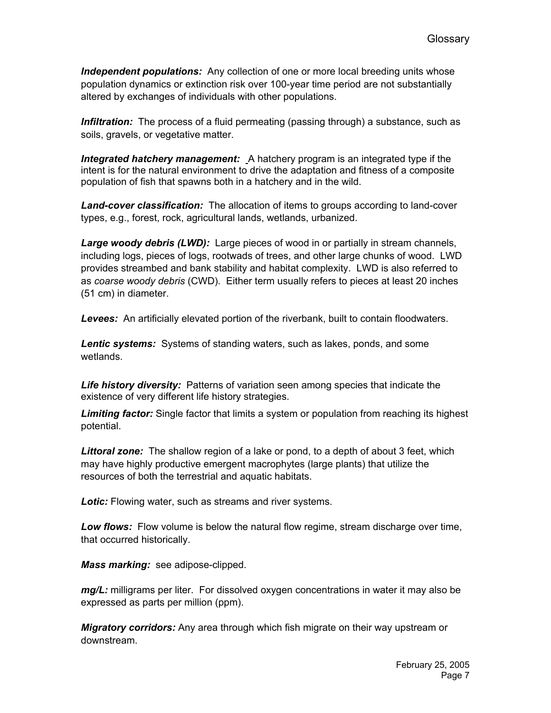*Independent populations:* Any collection of one or more local breeding units whose population dynamics or extinction risk over 100-year time period are not substantially altered by exchanges of individuals with other populations.

*Infiltration:* The process of a fluid permeating (passing through) a substance, such as soils, gravels, or vegetative matter.

*Integrated hatchery management:* A hatchery program is an integrated type if the intent is for the natural environment to drive the adaptation and fitness of a composite population of fish that spawns both in a hatchery and in the wild.

*Land-cover classification:* The allocation of items to groups according to land-cover types, e.g., forest, rock, agricultural lands, wetlands, urbanized.

*Large woody debris (LWD):* Large pieces of wood in or partially in stream channels, including logs, pieces of logs, rootwads of trees, and other large chunks of wood. LWD provides streambed and bank stability and habitat complexity. LWD is also referred to as *coarse woody debris* (CWD). Either term usually refers to pieces at least 20 inches (51 cm) in diameter.

*Levees:* An artificially elevated portion of the riverbank, built to contain floodwaters.

*Lentic systems:* Systems of standing waters, such as lakes, ponds, and some wetlands.

Life history diversity: Patterns of variation seen among species that indicate the existence of very different life history strategies.

*Limiting factor:* Single factor that limits a system or population from reaching its highest potential.

*Littoral zone:* The shallow region of a lake or pond, to a depth of about 3 feet, which may have highly productive emergent macrophytes (large plants) that utilize the resources of both the terrestrial and aquatic habitats.

*Lotic:* Flowing water, such as streams and river systems.

*Low flows:* Flow volume is below the natural flow regime, stream discharge over time, that occurred historically.

*Mass marking:* see adipose-clipped.

*mg/L:* milligrams per liter. For dissolved oxygen concentrations in water it may also be expressed as parts per million (ppm).

*Migratory corridors:* Any area through which fish migrate on their way upstream or downstream.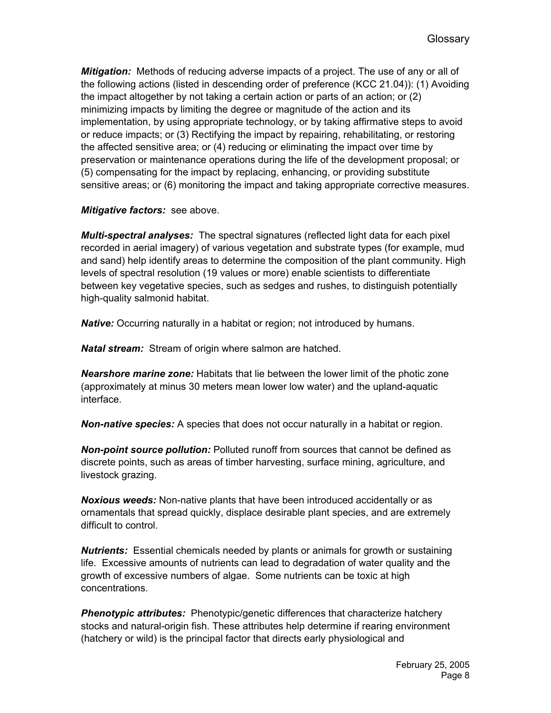*Mitigation:* Methods of reducing adverse impacts of a project. The use of any or all of the following actions (listed in descending order of preference (KCC 21.04)): (1) Avoiding the impact altogether by not taking a certain action or parts of an action; or (2) minimizing impacts by limiting the degree or magnitude of the action and its implementation, by using appropriate technology, or by taking affirmative steps to avoid or reduce impacts; or (3) Rectifying the impact by repairing, rehabilitating, or restoring the affected sensitive area; or (4) reducing or eliminating the impact over time by preservation or maintenance operations during the life of the development proposal; or (5) compensating for the impact by replacing, enhancing, or providing substitute sensitive areas; or (6) monitoring the impact and taking appropriate corrective measures.

*Mitigative factors:* see above.

*Multi-spectral analyses:* The spectral signatures (reflected light data for each pixel recorded in aerial imagery) of various vegetation and substrate types (for example, mud and sand) help identify areas to determine the composition of the plant community. High levels of spectral resolution (19 values or more) enable scientists to differentiate between key vegetative species, such as sedges and rushes, to distinguish potentially high-quality salmonid habitat.

*Native:* Occurring naturally in a habitat or region; not introduced by humans.

*Natal stream:* Stream of origin where salmon are hatched.

*Nearshore marine zone:* Habitats that lie between the lower limit of the photic zone (approximately at minus 30 meters mean lower low water) and the upland-aquatic interface.

*Non-native species:* A species that does not occur naturally in a habitat or region.

*Non-point source pollution:* Polluted runoff from sources that cannot be defined as discrete points, such as areas of timber harvesting, surface mining, agriculture, and livestock grazing.

*Noxious weeds:* Non-native plants that have been introduced accidentally or as ornamentals that spread quickly, displace desirable plant species, and are extremely difficult to control.

*Nutrients:* Essential chemicals needed by plants or animals for growth or sustaining life. Excessive amounts of nutrients can lead to degradation of water quality and the growth of excessive numbers of algae. Some nutrients can be toxic at high concentrations.

*Phenotypic attributes:* Phenotypic/genetic differences that characterize hatchery stocks and natural-origin fish. These attributes help determine if rearing environment (hatchery or wild) is the principal factor that directs early physiological and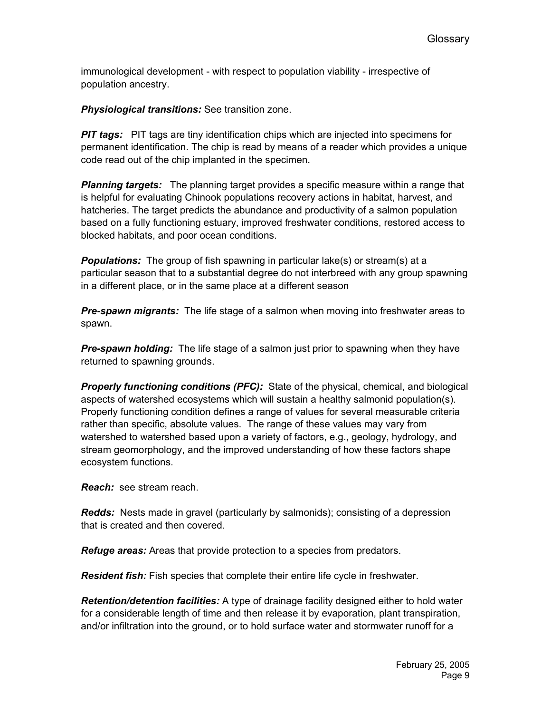immunological development - with respect to population viability - irrespective of population ancestry.

*Physiological transitions:* See transition zone.

**PIT tags:** PIT tags are tiny identification chips which are injected into specimens for permanent identification. The chip is read by means of a reader which provides a unique code read out of the chip implanted in the specimen.

**Planning targets:** The planning target provides a specific measure within a range that is helpful for evaluating Chinook populations recovery actions in habitat, harvest, and hatcheries. The target predicts the abundance and productivity of a salmon population based on a fully functioning estuary, improved freshwater conditions, restored access to blocked habitats, and poor ocean conditions.

*Populations:* The group of fish spawning in particular lake(s) or stream(s) at a particular season that to a substantial degree do not interbreed with any group spawning in a different place, or in the same place at a different season

*Pre-spawn migrants:* The life stage of a salmon when moving into freshwater areas to spawn.

*Pre-spawn holding:* The life stage of a salmon just prior to spawning when they have returned to spawning grounds.

*Properly functioning conditions (PFC):* State of the physical, chemical, and biological aspects of watershed ecosystems which will sustain a healthy salmonid population(s). Properly functioning condition defines a range of values for several measurable criteria rather than specific, absolute values. The range of these values may vary from watershed to watershed based upon a variety of factors, e.g., geology, hydrology, and stream geomorphology, and the improved understanding of how these factors shape ecosystem functions.

*Reach:* see stream reach.

*Redds:* Nests made in gravel (particularly by salmonids); consisting of a depression that is created and then covered.

*Refuge areas:* Areas that provide protection to a species from predators.

*Resident fish:* Fish species that complete their entire life cycle in freshwater.

*Retention/detention facilities:* A type of drainage facility designed either to hold water for a considerable length of time and then release it by evaporation, plant transpiration, and/or infiltration into the ground, or to hold surface water and stormwater runoff for a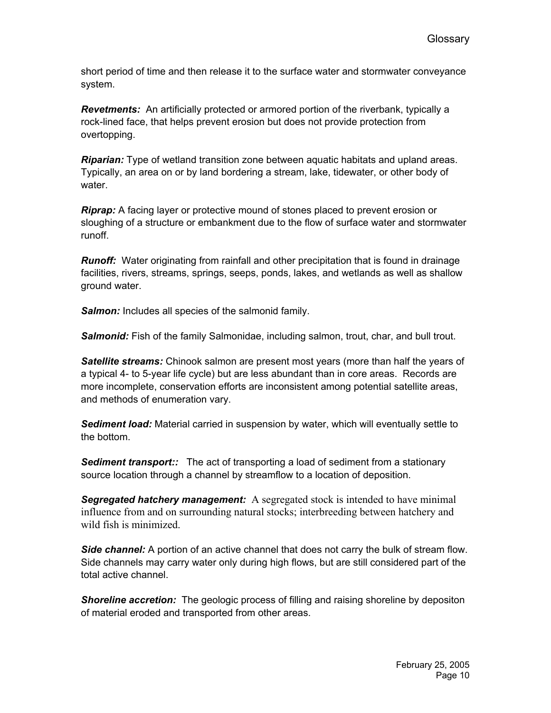short period of time and then release it to the surface water and stormwater conveyance system.

*Revetments:* An artificially protected or armored portion of the riverbank, typically a rock-lined face, that helps prevent erosion but does not provide protection from overtopping.

*Riparian:* Type of wetland transition zone between aquatic habitats and upland areas. Typically, an area on or by land bordering a stream, lake, tidewater, or other body of water.

*Riprap:* A facing layer or protective mound of stones placed to prevent erosion or sloughing of a structure or embankment due to the flow of surface water and stormwater runoff.

*Runoff:* Water originating from rainfall and other precipitation that is found in drainage facilities, rivers, streams, springs, seeps, ponds, lakes, and wetlands as well as shallow ground water.

**Salmon:** Includes all species of the salmonid family.

**Salmonid:** Fish of the family Salmonidae, including salmon, trout, char, and bull trout.

**Satellite streams:** Chinook salmon are present most years (more than half the years of a typical 4- to 5-year life cycle) but are less abundant than in core areas. Records are more incomplete, conservation efforts are inconsistent among potential satellite areas, and methods of enumeration vary.

*Sediment load:* Material carried in suspension by water, which will eventually settle to the bottom.

**Sediment transport::** The act of transporting a load of sediment from a stationary source location through a channel by streamflow to a location of deposition.

**Segregated hatchery management:** A segregated stock is intended to have minimal influence from and on surrounding natural stocks; interbreeding between hatchery and wild fish is minimized.

**Side channel:** A portion of an active channel that does not carry the bulk of stream flow. Side channels may carry water only during high flows, but are still considered part of the total active channel.

**Shoreline accretion:** The geologic process of filling and raising shoreline by depositon of material eroded and transported from other areas.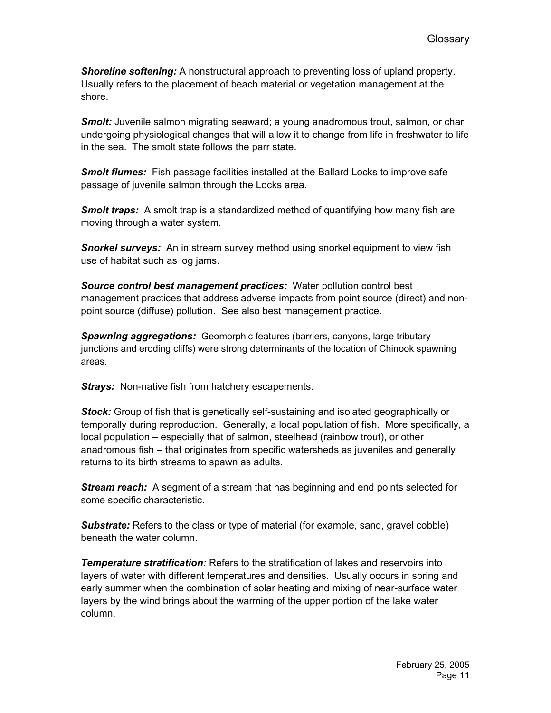*Shoreline softening:* A nonstructural approach to preventing loss of upland property. Usually refers to the placement of beach material or vegetation management at the shore.

**Smolt:** Juvenile salmon migrating seaward; a young anadromous trout, salmon, or char undergoing physiological changes that will allow it to change from life in freshwater to life in the sea. The smolt state follows the parr state.

*Smolt flumes:* Fish passage facilities installed at the Ballard Locks to improve safe passage of juvenile salmon through the Locks area.

*Smolt traps:* A smolt trap is a standardized method of quantifying how many fish are moving through a water system.

**Snorkel surveys:** An in stream survey method using snorkel equipment to view fish use of habitat such as log jams.

*Source control best management practices:* Water pollution control best management practices that address adverse impacts from point source (direct) and nonpoint source (diffuse) pollution. See also best management practice.

*Spawning aggregations:* Geomorphic features (barriers, canyons, large tributary junctions and eroding cliffs) were strong determinants of the location of Chinook spawning areas.

*Strays:* Non-native fish from hatchery escapements.

*Stock:* Group of fish that is genetically self-sustaining and isolated geographically or temporally during reproduction. Generally, a local population of fish. More specifically, a local population – especially that of salmon, steelhead (rainbow trout), or other anadromous fish – that originates from specific watersheds as juveniles and generally returns to its birth streams to spawn as adults.

*Stream reach:* A segment of a stream that has beginning and end points selected for some specific characteristic.

**Substrate:** Refers to the class or type of material (for example, sand, gravel cobble) beneath the water column.

*Temperature stratification:* Refers to the stratification of lakes and reservoirs into layers of water with different temperatures and densities. Usually occurs in spring and early summer when the combination of solar heating and mixing of near-surface water layers by the wind brings about the warming of the upper portion of the lake water column.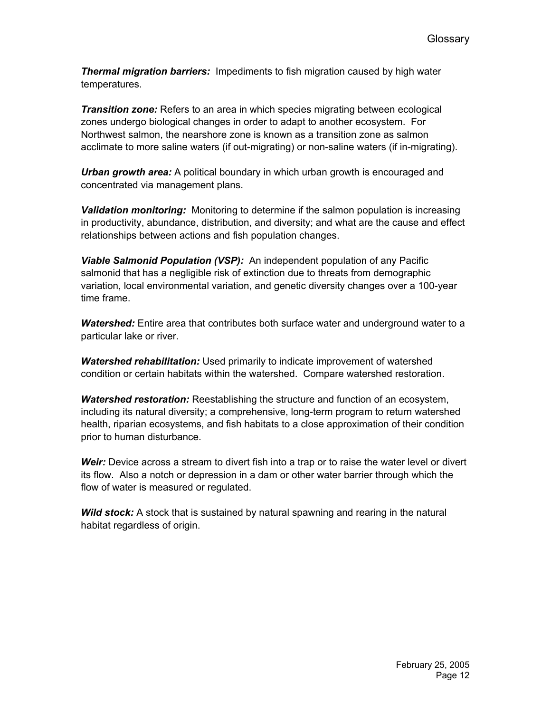*Thermal migration barriers:* Impediments to fish migration caused by high water temperatures.

*Transition zone:* Refers to an area in which species migrating between ecological zones undergo biological changes in order to adapt to another ecosystem. For Northwest salmon, the nearshore zone is known as a transition zone as salmon acclimate to more saline waters (if out-migrating) or non-saline waters (if in-migrating).

*Urban growth area:* A political boundary in which urban growth is encouraged and concentrated via management plans.

*Validation monitoring:* Monitoring to determine if the salmon population is increasing in productivity, abundance, distribution, and diversity; and what are the cause and effect relationships between actions and fish population changes.

*Viable Salmonid Population (VSP):* An independent population of any Pacific salmonid that has a negligible risk of extinction due to threats from demographic variation, local environmental variation, and genetic diversity changes over a 100-year time frame.

*Watershed:* Entire area that contributes both surface water and underground water to a particular lake or river.

*Watershed rehabilitation:* Used primarily to indicate improvement of watershed condition or certain habitats within the watershed. Compare watershed restoration.

*Watershed restoration:* Reestablishing the structure and function of an ecosystem, including its natural diversity; a comprehensive, long-term program to return watershed health, riparian ecosystems, and fish habitats to a close approximation of their condition prior to human disturbance.

*Weir:* Device across a stream to divert fish into a trap or to raise the water level or divert its flow. Also a notch or depression in a dam or other water barrier through which the flow of water is measured or regulated.

**Wild stock:** A stock that is sustained by natural spawning and rearing in the natural habitat regardless of origin.